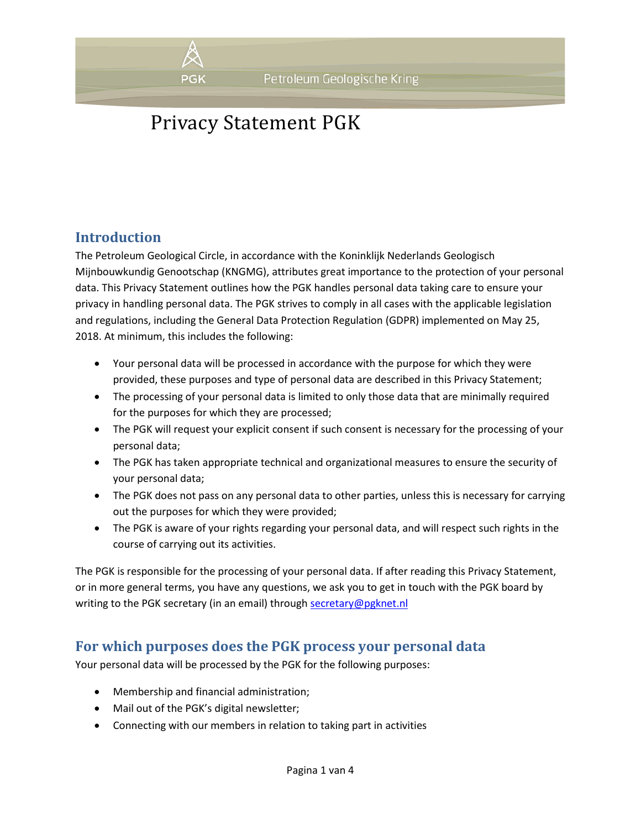

## **Introduction**

The Petroleum Geological Circle, in accordance with the Koninklijk Nederlands Geologisch Mijnbouwkundig Genootschap (KNGMG), attributes great importance to the protection of your personal data. This Privacy Statement outlines how the PGK handles personal data taking care to ensure your privacy in handling personal data. The PGK strives to comply in all cases with the applicable legislation and regulations, including the General Data Protection Regulation (GDPR) implemented on May 25, 2018. At minimum, this includes the following:

- Your personal data will be processed in accordance with the purpose for which they were provided, these purposes and type of personal data are described in this Privacy Statement;
- The processing of your personal data is limited to only those data that are minimally required for the purposes for which they are processed;
- The PGK will request your explicit consent if such consent is necessary for the processing of your personal data;
- The PGK has taken appropriate technical and organizational measures to ensure the security of your personal data;
- The PGK does not pass on any personal data to other parties, unless this is necessary for carrying out the purposes for which they were provided;
- The PGK is aware of your rights regarding your personal data, and will respect such rights in the course of carrying out its activities.

The PGK is responsible for the processing of your personal data. If after reading this Privacy Statement, or in more general terms, you have any questions, we ask you to get in touch with the PGK board by writing to the PGK secretary (in an email) through [secretary@pgknet.nl](mailto:secretary@pgknet.nl)

### **For which purposes does the PGK process your personal data**

Your personal data will be processed by the PGK for the following purposes:

- Membership and financial administration;
- Mail out of the PGK's digital newsletter;
- Connecting with our members in relation to taking part in activities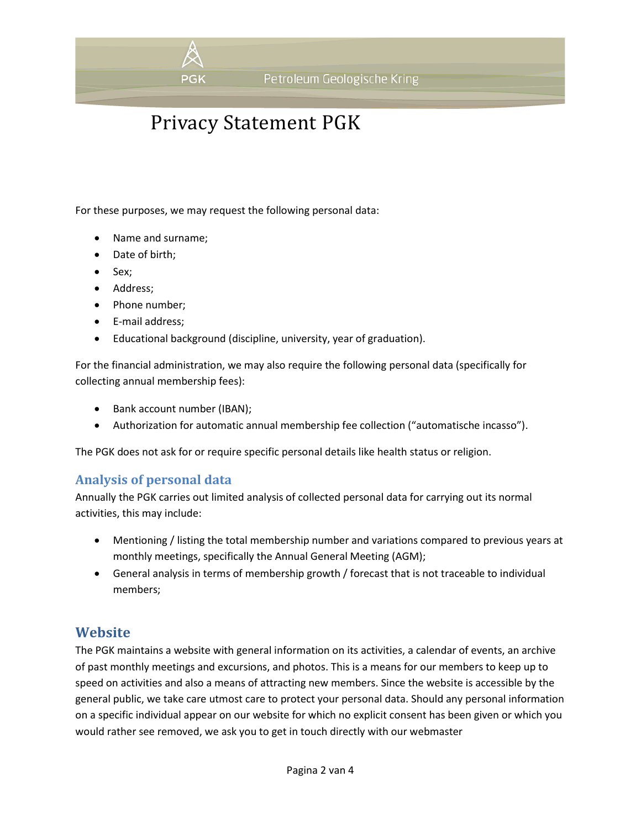

For these purposes, we may request the following personal data:

- Name and surname;
- Date of birth;
- Sex;
- Address;
- Phone number;
- E-mail address;
- Educational background (discipline, university, year of graduation).

For the financial administration, we may also require the following personal data (specifically for collecting annual membership fees):

- Bank account number (IBAN);
- Authorization for automatic annual membership fee collection ("automatische incasso").

The PGK does not ask for or require specific personal details like health status or religion.

#### **Analysis of personal data**

Annually the PGK carries out limited analysis of collected personal data for carrying out its normal activities, this may include:

- Mentioning / listing the total membership number and variations compared to previous years at monthly meetings, specifically the Annual General Meeting (AGM);
- General analysis in terms of membership growth / forecast that is not traceable to individual members;

#### **Website**

The PGK maintains a website with general information on its activities, a calendar of events, an archive of past monthly meetings and excursions, and photos. This is a means for our members to keep up to speed on activities and also a means of attracting new members. Since the website is accessible by the general public, we take care utmost care to protect your personal data. Should any personal information on a specific individual appear on our website for which no explicit consent has been given or which you would rather see removed, we ask you to get in touch directly with our webmaster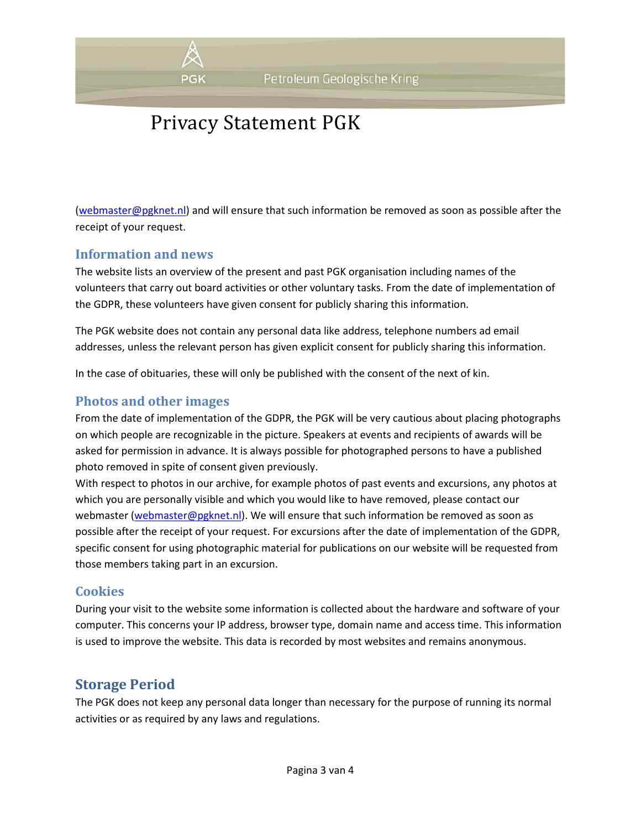

[\(webmaster@pgknet.nl\)](mailto:webmaster@pgknet.nl) and will ensure that such information be removed as soon as possible after the receipt of your request.

#### **Information and news**

The website lists an overview of the present and past PGK organisation including names of the volunteers that carry out board activities or other voluntary tasks. From the date of implementation of the GDPR, these volunteers have given consent for publicly sharing this information.

The PGK website does not contain any personal data like address, telephone numbers ad email addresses, unless the relevant person has given explicit consent for publicly sharing this information.

In the case of obituaries, these will only be published with the consent of the next of kin.

#### **Photos and other images**

From the date of implementation of the GDPR, the PGK will be very cautious about placing photographs on which people are recognizable in the picture. Speakers at events and recipients of awards will be asked for permission in advance. It is always possible for photographed persons to have a published photo removed in spite of consent given previously.

With respect to photos in our archive, for example photos of past events and excursions, any photos at which you are personally visible and which you would like to have removed, please contact our webmaster [\(webmaster@pgknet.nl\)](mailto:webmaster@pgknet.nl). We will ensure that such information be removed as soon as possible after the receipt of your request. For excursions after the date of implementation of the GDPR, specific consent for using photographic material for publications on our website will be requested from those members taking part in an excursion.

#### **Cookies**

During your visit to the website some information is collected about the hardware and software of your computer. This concerns your IP address, browser type, domain name and access time. This information is used to improve the website. This data is recorded by most websites and remains anonymous.

### **Storage Period**

The PGK does not keep any personal data longer than necessary for the purpose of running its normal activities or as required by any laws and regulations.